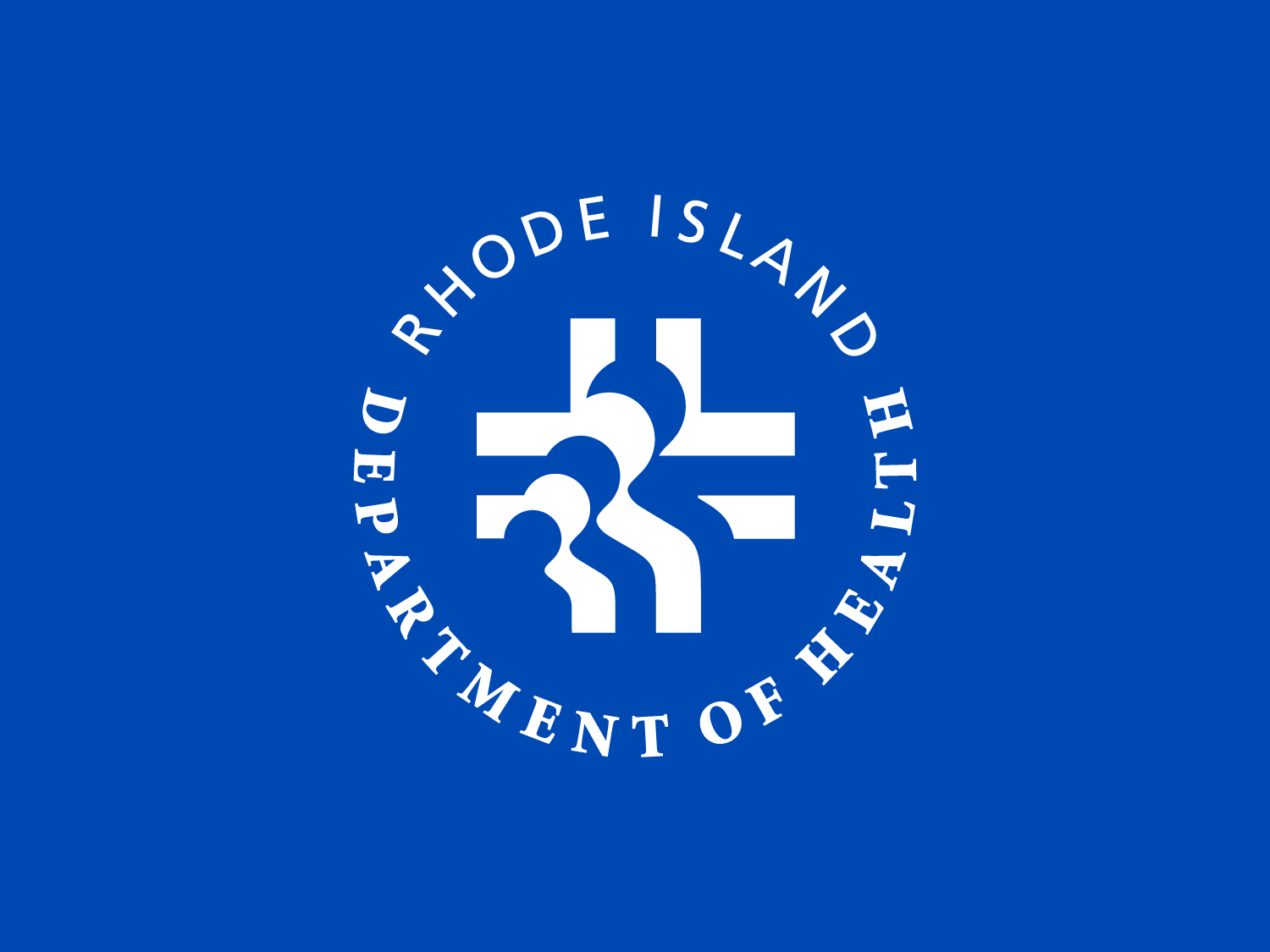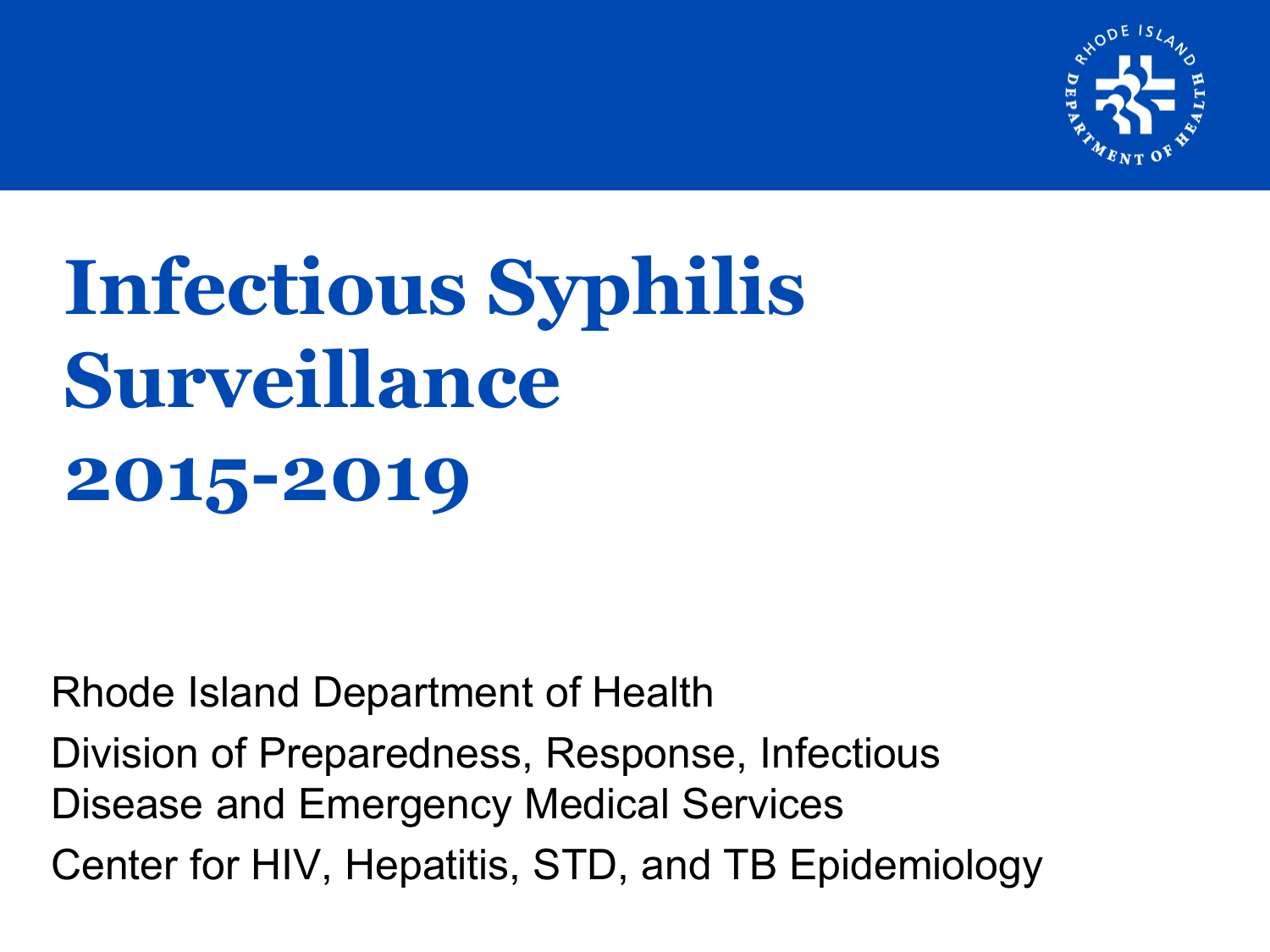

# **Infectious Syphilis Surveillance 2015-2019**

Rhode Island Department of Health

Division of Preparedness, Response, Infectious Disease and Emergency Medical Services Center for HIV, Hepatitis, STD, and TB Epidemiology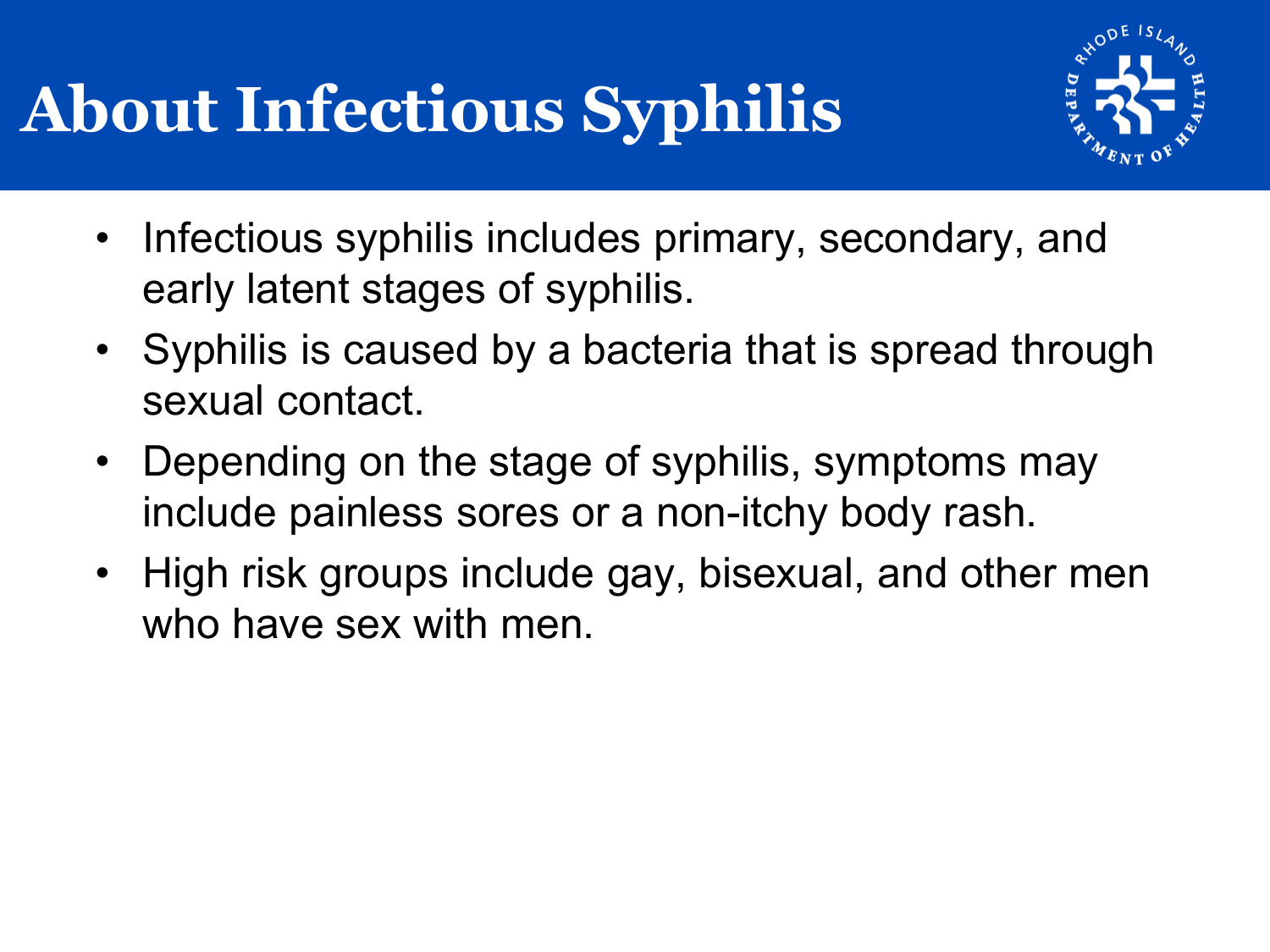## **About Infectious Syphilis**



- Infectious syphilis includes primary, secondary, and early latent stages of syphilis.
- Syphilis is caused by a bacteria that is spread through sexual contact.
- Depending on the stage of syphilis, symptoms may include painless sores or a non-itchy body rash.
- High risk groups include gay, bisexual, and other men who have sex with men.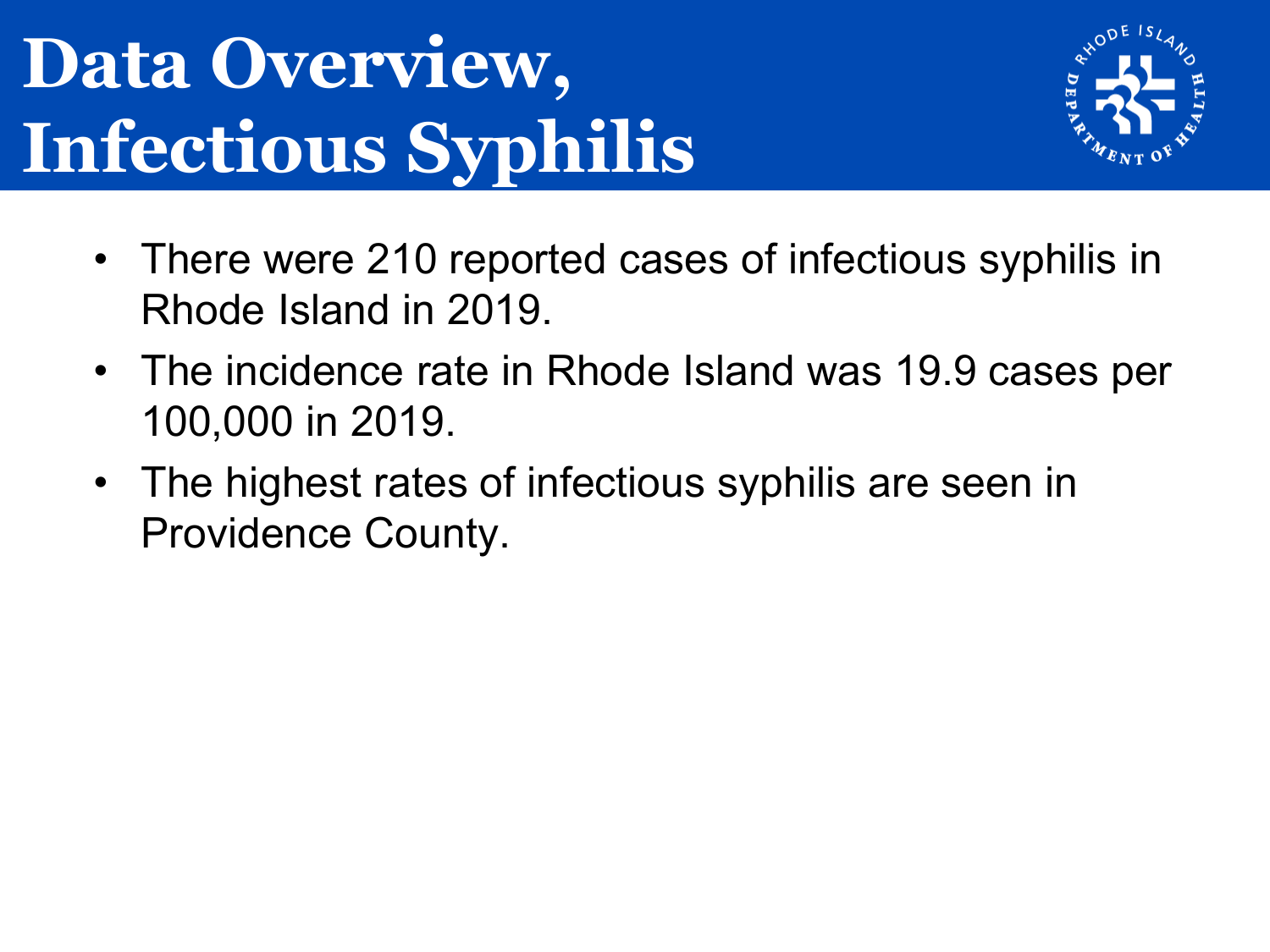## **Data Overview, Infectious Syphilis**



- There were 210 reported cases of infectious syphilis in Rhode Island in 2019.
- The incidence rate in Rhode Island was 19.9 cases per 100,000 in 2019.
- The highest rates of infectious syphilis are seen in Providence County.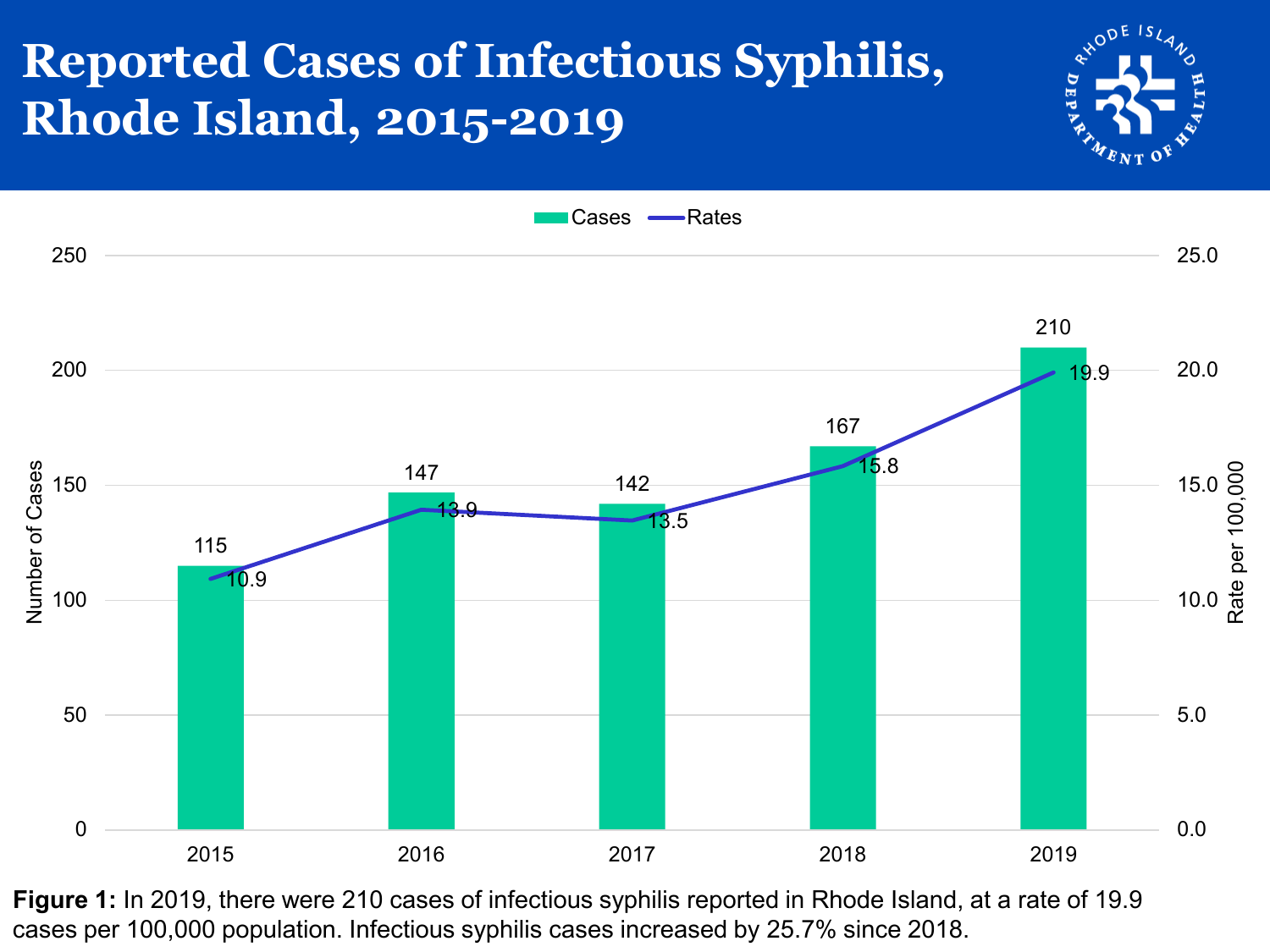#### **Reported Cases of Infectious Syphilis, Rhode Island, 2015-2019**





**Figure 1:** In 2019, there were 210 cases of infectious syphilis reported in Rhode Island, at a rate of 19.9 cases per 100,000 population. Infectious syphilis cases increased by 25.7% since 2018.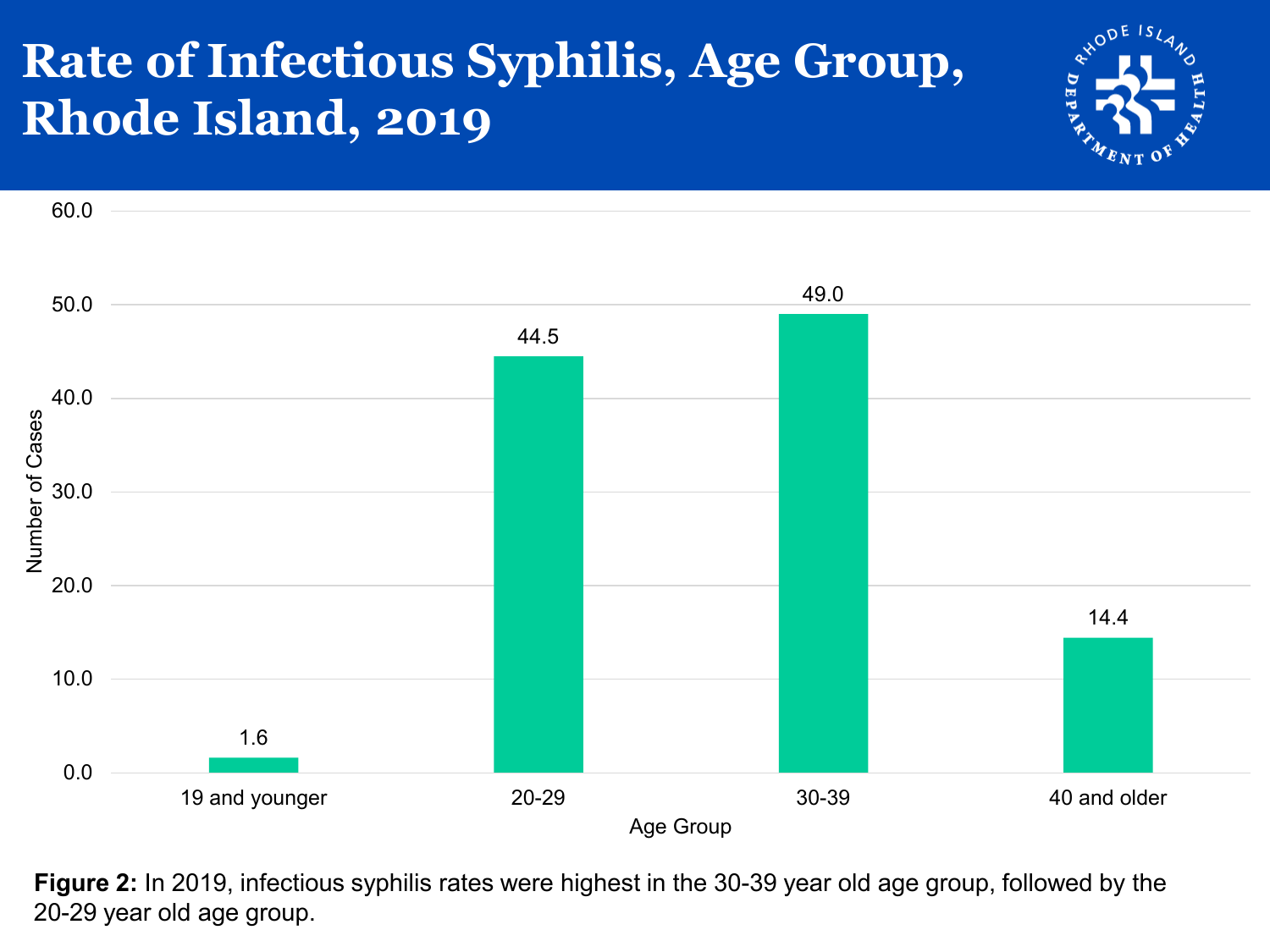#### **Rate of Infectious Syphilis, Age Group, Rhode Island, 2019**





**Figure 2:** In 2019, infectious syphilis rates were highest in the 30-39 year old age group, followed by the 20-29 year old age group.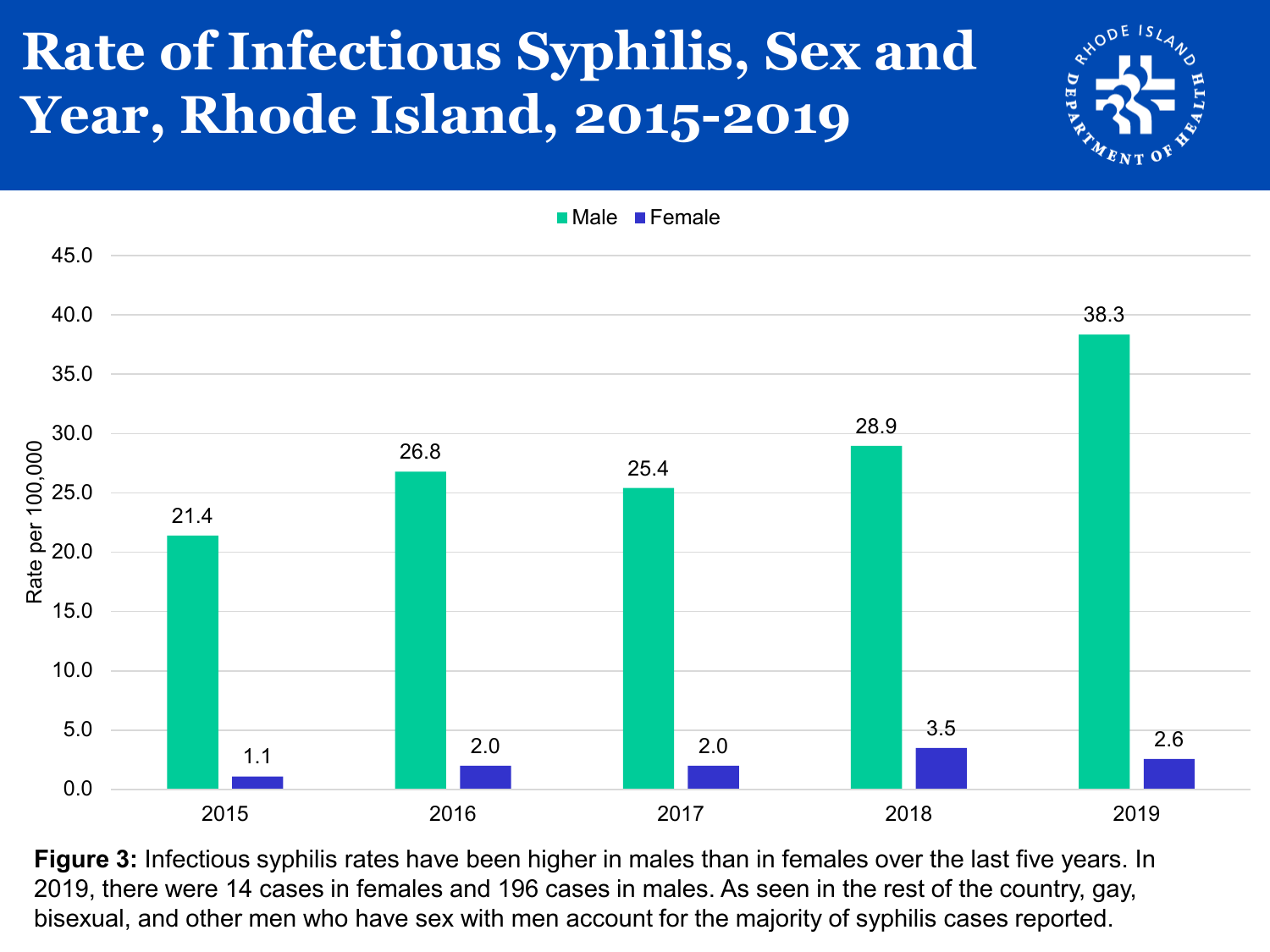### **Rate of Infectious Syphilis, Sex and Year, Rhode Island, 2015-2019**



**Figure 3:** Infectious syphilis rates have been higher in males than in females over the last five years. In 2019, there were 14 cases in females and 196 cases in males. As seen in the rest of the country, gay, bisexual, and other men who have sex with men account for the majority of syphilis cases reported.

**Male Female** 

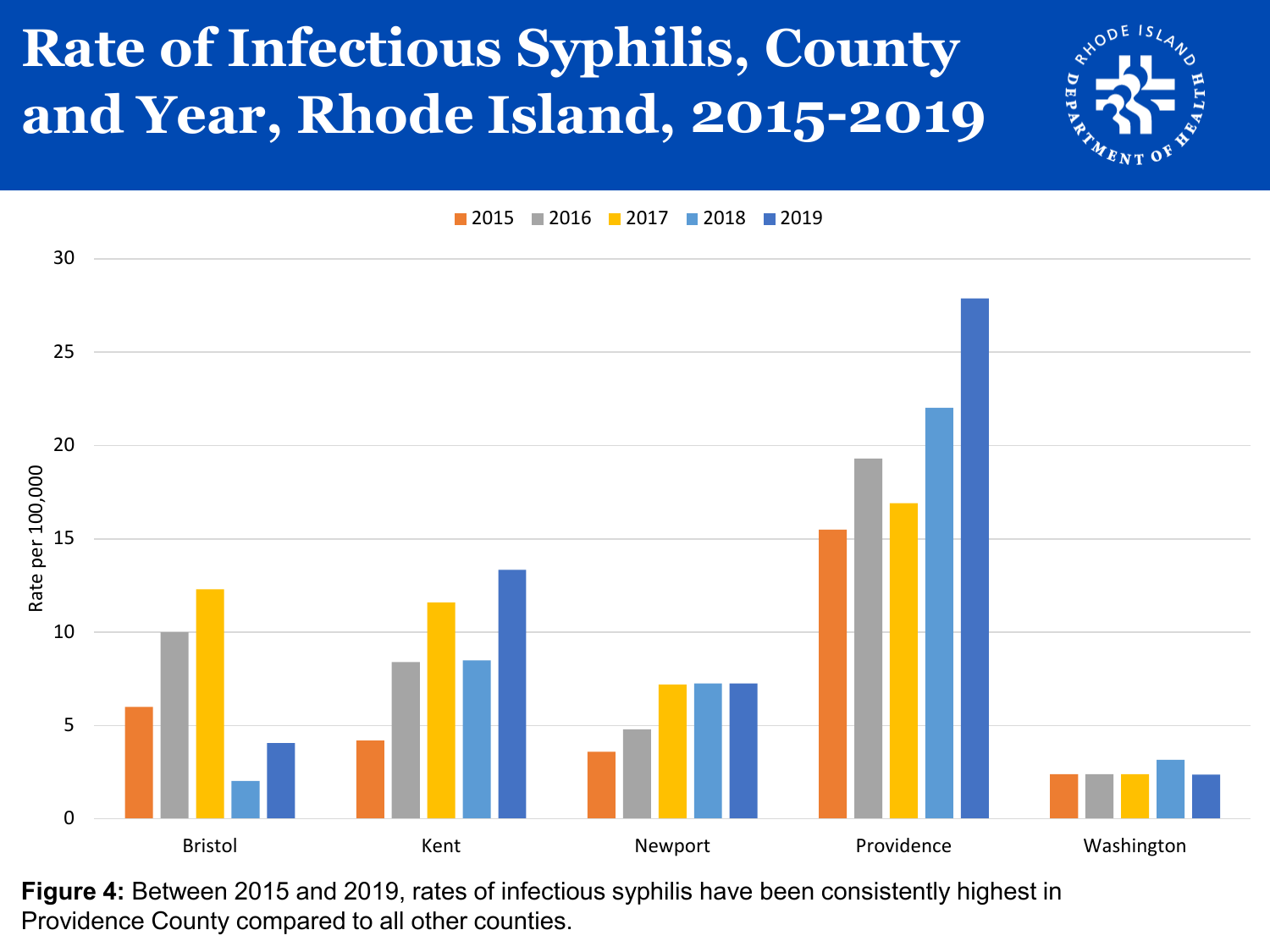

## **Rate of Infectious Syphilis, County and Year, Rhode Island, 2015-2019**

**2015 2016 2017 2018 2019** 



**Figure 4:** Between 2015 and 2019, rates of infectious syphilis have been consistently highest in Providence County compared to all other counties.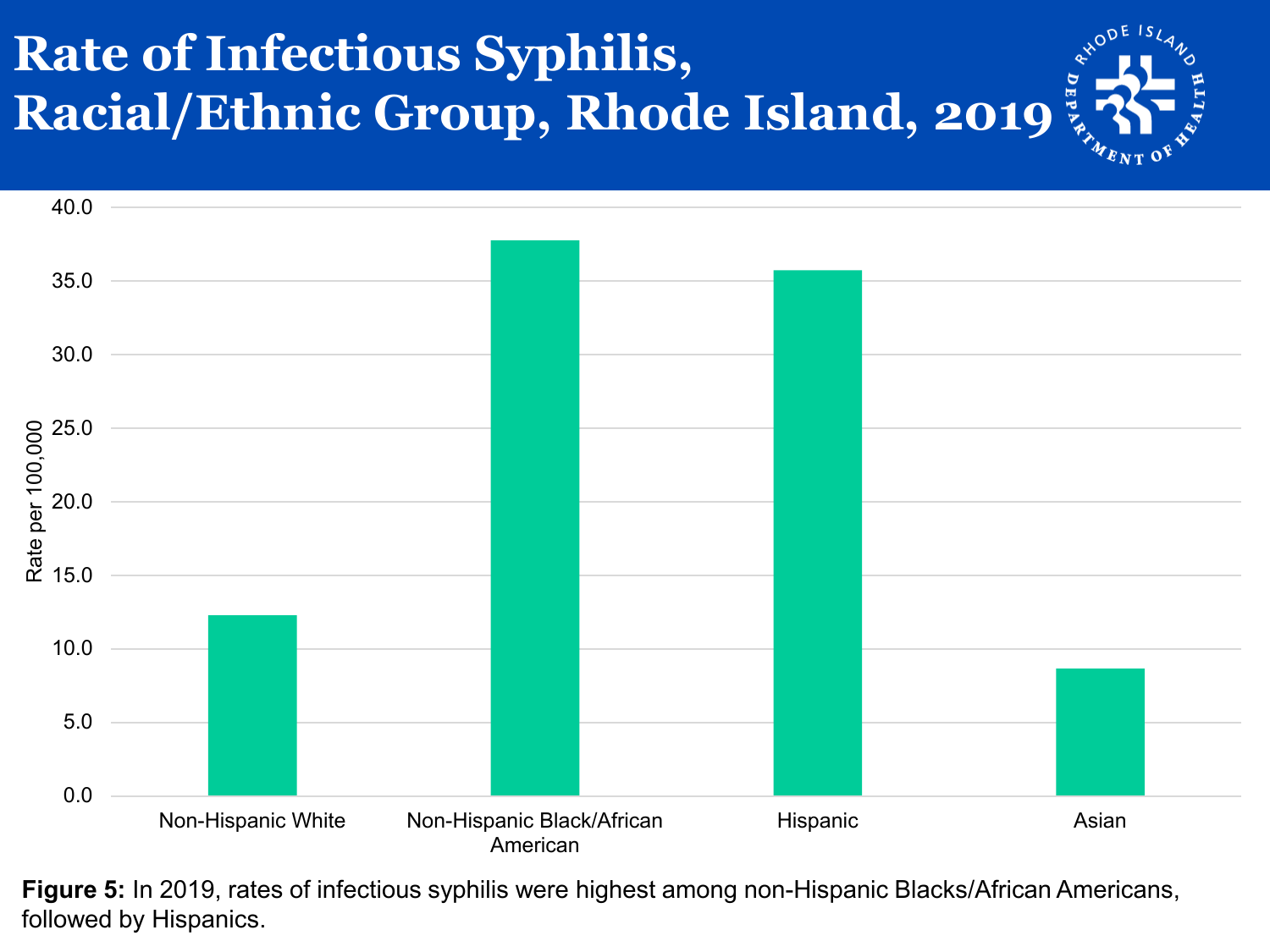### **Rate of Infectious Syphilis, Racial/Ethnic Group, Rhode Island, 2019**



**Figure 5:** In 2019, rates of infectious syphilis were highest among non-Hispanic Blacks/African Americans, followed by Hispanics.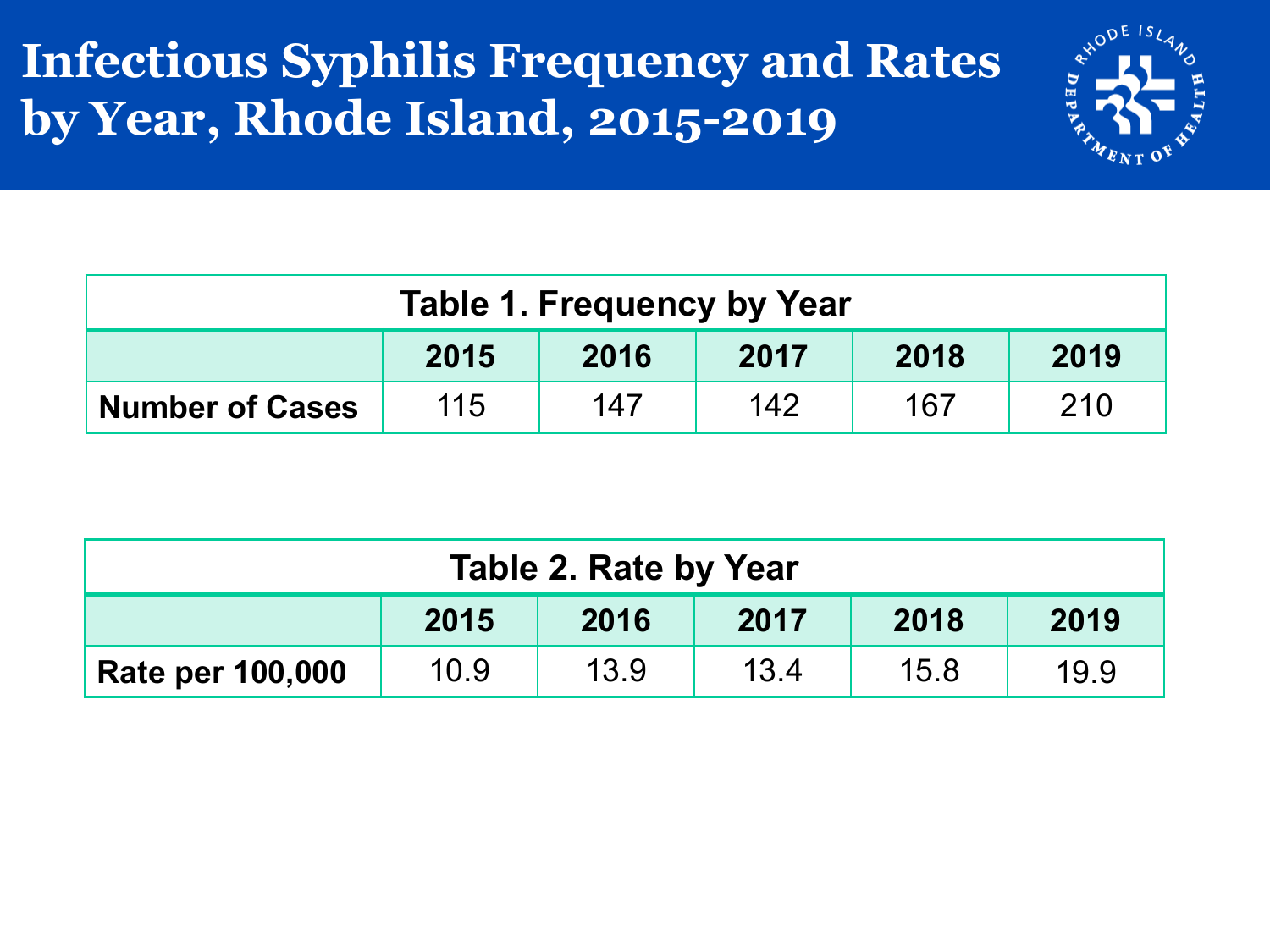#### **Infectious Syphilis Frequency and Rates by Year, Rhode Island, 2015-2019**



| Table 1. Frequency by Year                                |  |  |  |  |  |  |  |
|-----------------------------------------------------------|--|--|--|--|--|--|--|
| 2015<br>2016<br>2018<br>2019<br>2017                      |  |  |  |  |  |  |  |
| 115<br>210<br>147<br>142<br>167<br><b>Number of Cases</b> |  |  |  |  |  |  |  |

| Table 2. Rate by Year                |      |      |      |      |      |  |
|--------------------------------------|------|------|------|------|------|--|
| 2018<br>2019<br>2015<br>2016<br>2017 |      |      |      |      |      |  |
| <b>Rate per 100,000</b>              | 10.9 | 13.9 | 13.4 | 15.8 | 19.9 |  |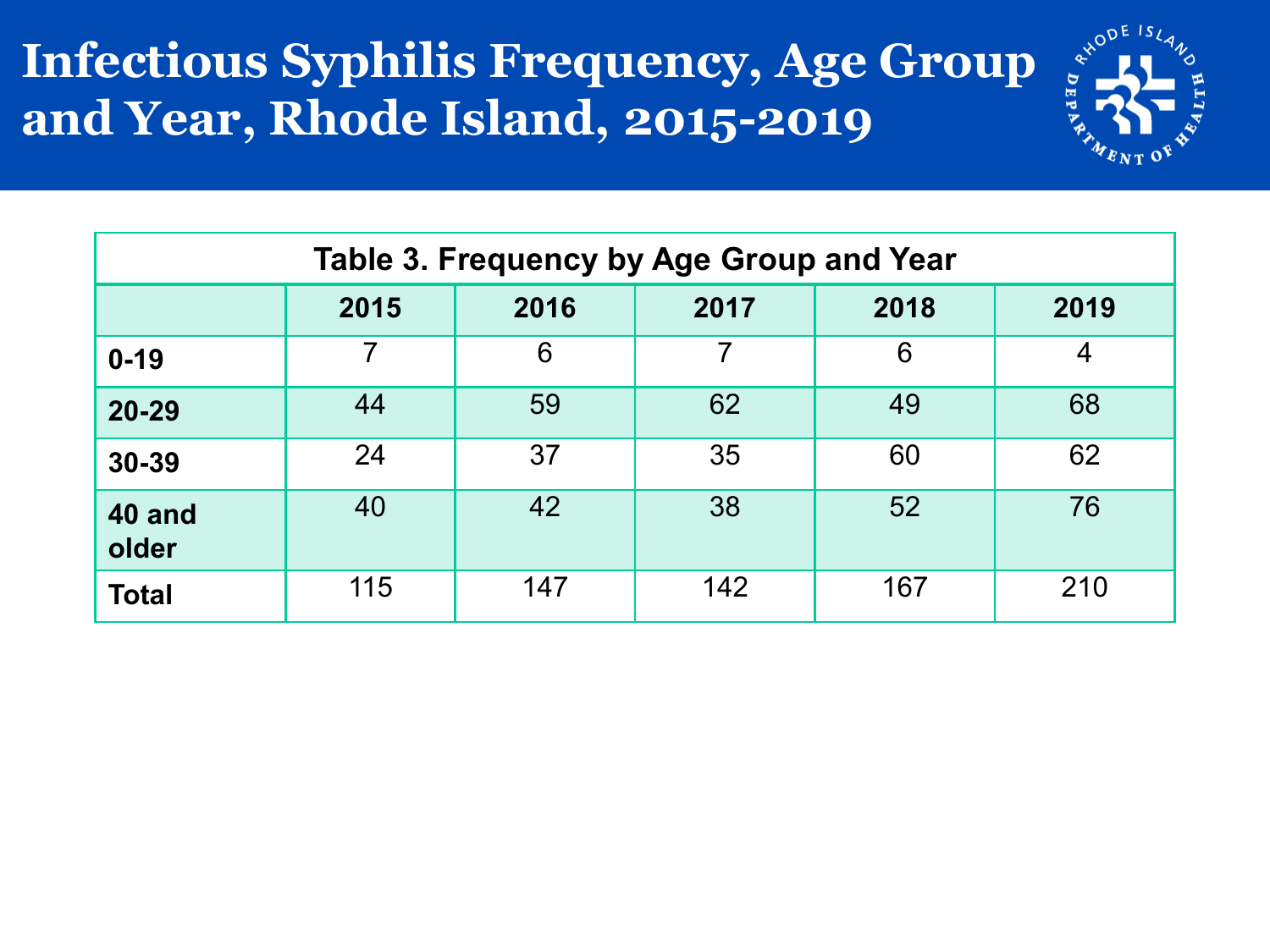#### **Infectious Syphilis Frequency, Age Group and Year, Rhode Island, 2015-2019**



| Table 3. Frequency by Age Group and Year |                                      |     |                |     |     |  |  |  |
|------------------------------------------|--------------------------------------|-----|----------------|-----|-----|--|--|--|
|                                          | 2016<br>2018<br>2015<br>2017<br>2019 |     |                |     |     |  |  |  |
| $0 - 19$                                 | 7                                    | 6   | $\overline{7}$ | 6   | 4   |  |  |  |
| 20-29                                    | 44                                   | 59  | 62             | 49  | 68  |  |  |  |
| 30-39                                    | 24                                   | 37  | 35             | 60  | 62  |  |  |  |
| 40 and<br>older                          | 40                                   | 42  | 38             | 52  | 76  |  |  |  |
| <b>Total</b>                             | 115                                  | 147 | 142            | 167 | 210 |  |  |  |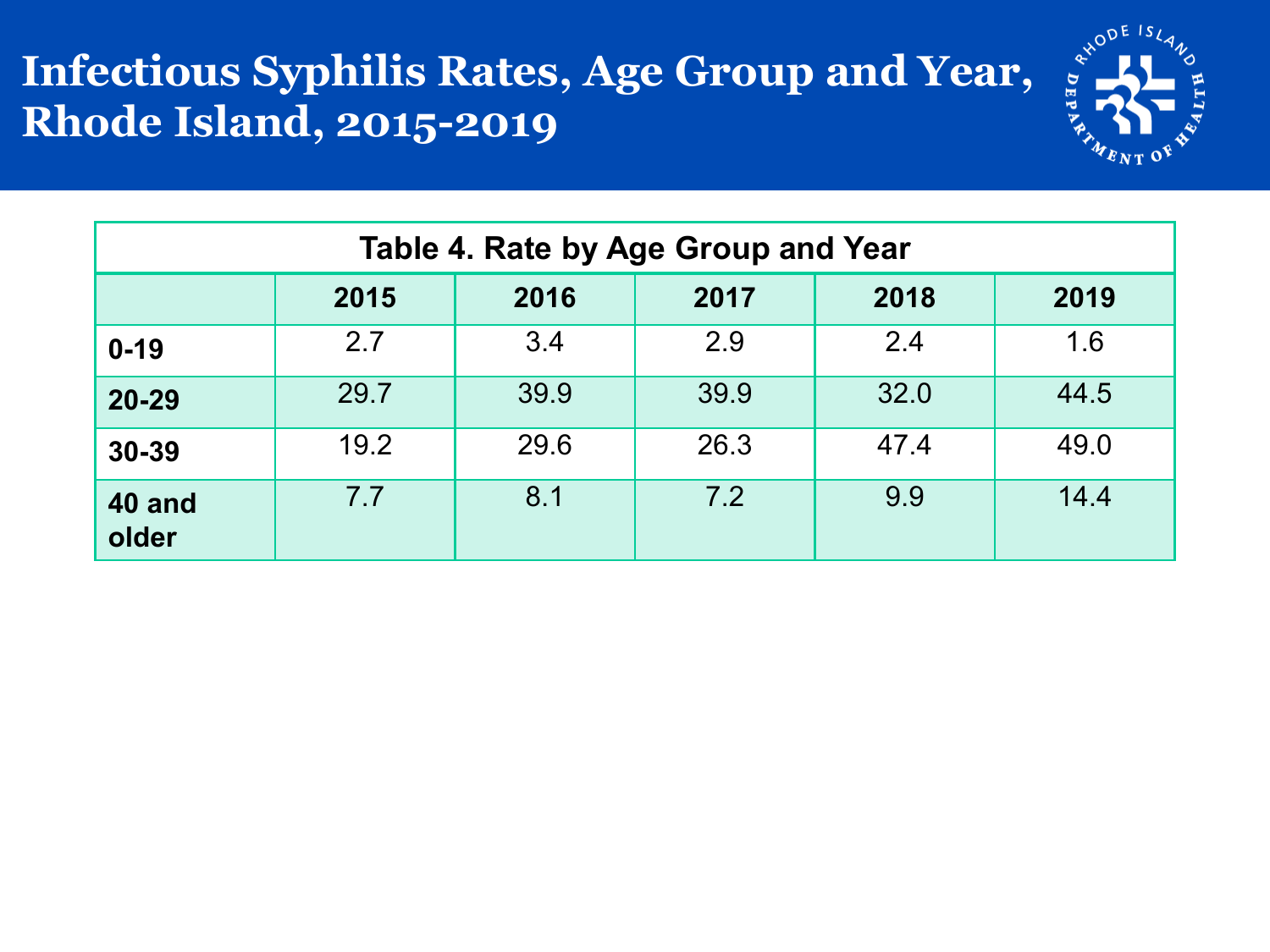## **Infectious Syphilis Rates, Age Group and Year, Rhode Island, 2015-2019**



| Table 4. Rate by Age Group and Year |                                      |      |      |      |      |  |  |  |  |
|-------------------------------------|--------------------------------------|------|------|------|------|--|--|--|--|
|                                     | 2015<br>2016<br>2017<br>2018<br>2019 |      |      |      |      |  |  |  |  |
| $0 - 19$                            | 2.7                                  | 3.4  | 2.9  | 2.4  | 1.6  |  |  |  |  |
| $20 - 29$                           | 29.7                                 | 39.9 | 39.9 | 32.0 | 44.5 |  |  |  |  |
| 30-39                               | 19.2                                 | 29.6 | 26.3 | 47.4 | 49.0 |  |  |  |  |
| <b>40 and</b><br>older              | 7.7                                  | 8.1  | 7.2  | 9.9  | 14.4 |  |  |  |  |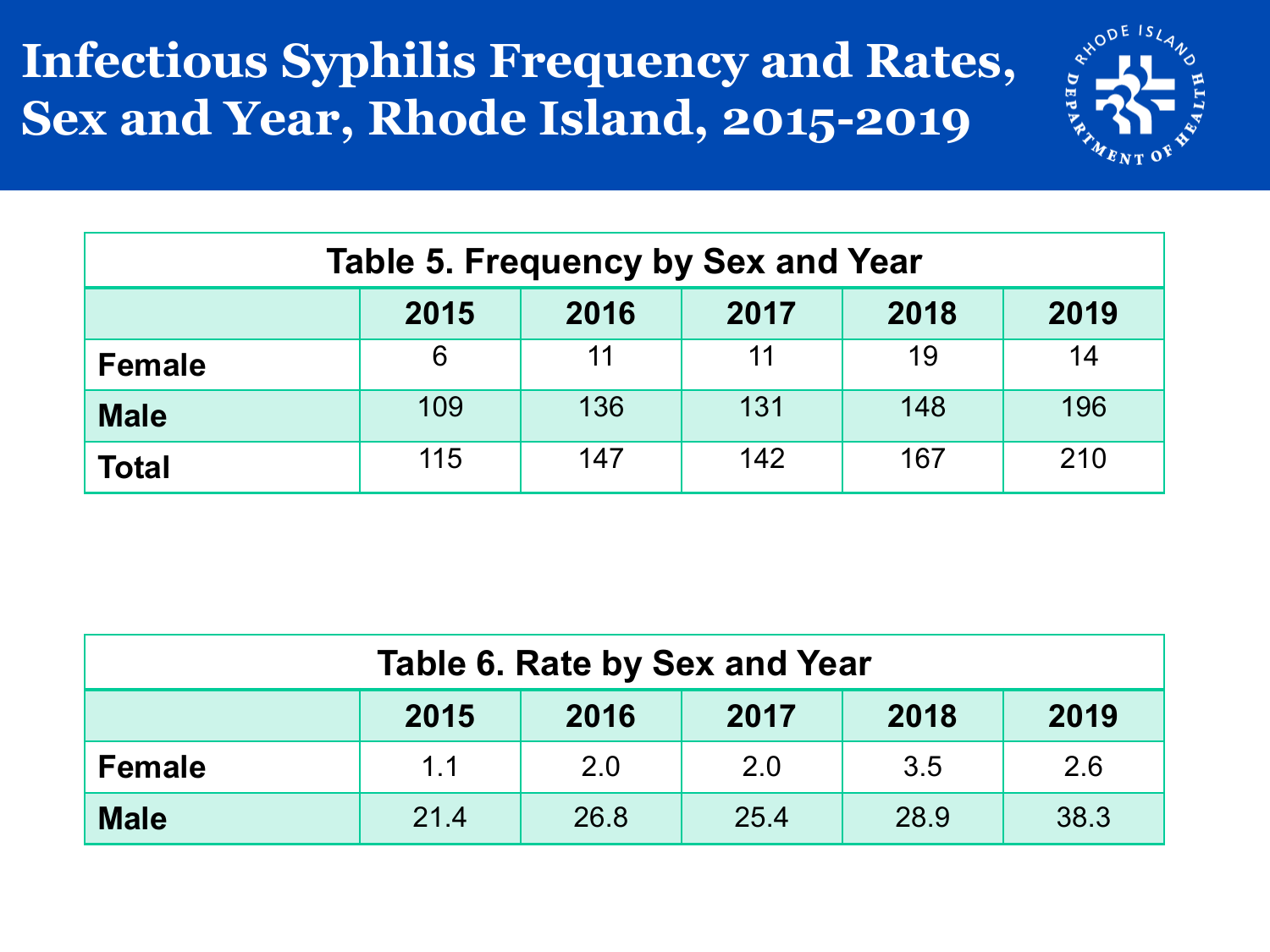#### **Infectious Syphilis Frequency and Rates, Sex and Year, Rhode Island, 2015-2019**



| <b>Table 5. Frequency by Sex and Year</b> |     |     |     |     |     |  |  |
|-------------------------------------------|-----|-----|-----|-----|-----|--|--|
| 2018<br>2015<br>2019<br>2016<br>2017      |     |     |     |     |     |  |  |
| <b>Female</b>                             | 6   | 11  | 11  | 19  | 14  |  |  |
| <b>Male</b>                               | 109 | 136 | 131 | 148 | 196 |  |  |
| <b>Total</b>                              | 115 | 147 | 142 | 167 | 210 |  |  |

| Table 6. Rate by Sex and Year                       |     |     |     |     |     |  |  |
|-----------------------------------------------------|-----|-----|-----|-----|-----|--|--|
| 2018<br>2019<br>2017<br>2015<br>2016                |     |     |     |     |     |  |  |
| <b>Female</b>                                       | 1.1 | 2.0 | 2.0 | 3.5 | 2.6 |  |  |
| 38.3<br><b>Male</b><br>21.4<br>28.9<br>26.8<br>25.4 |     |     |     |     |     |  |  |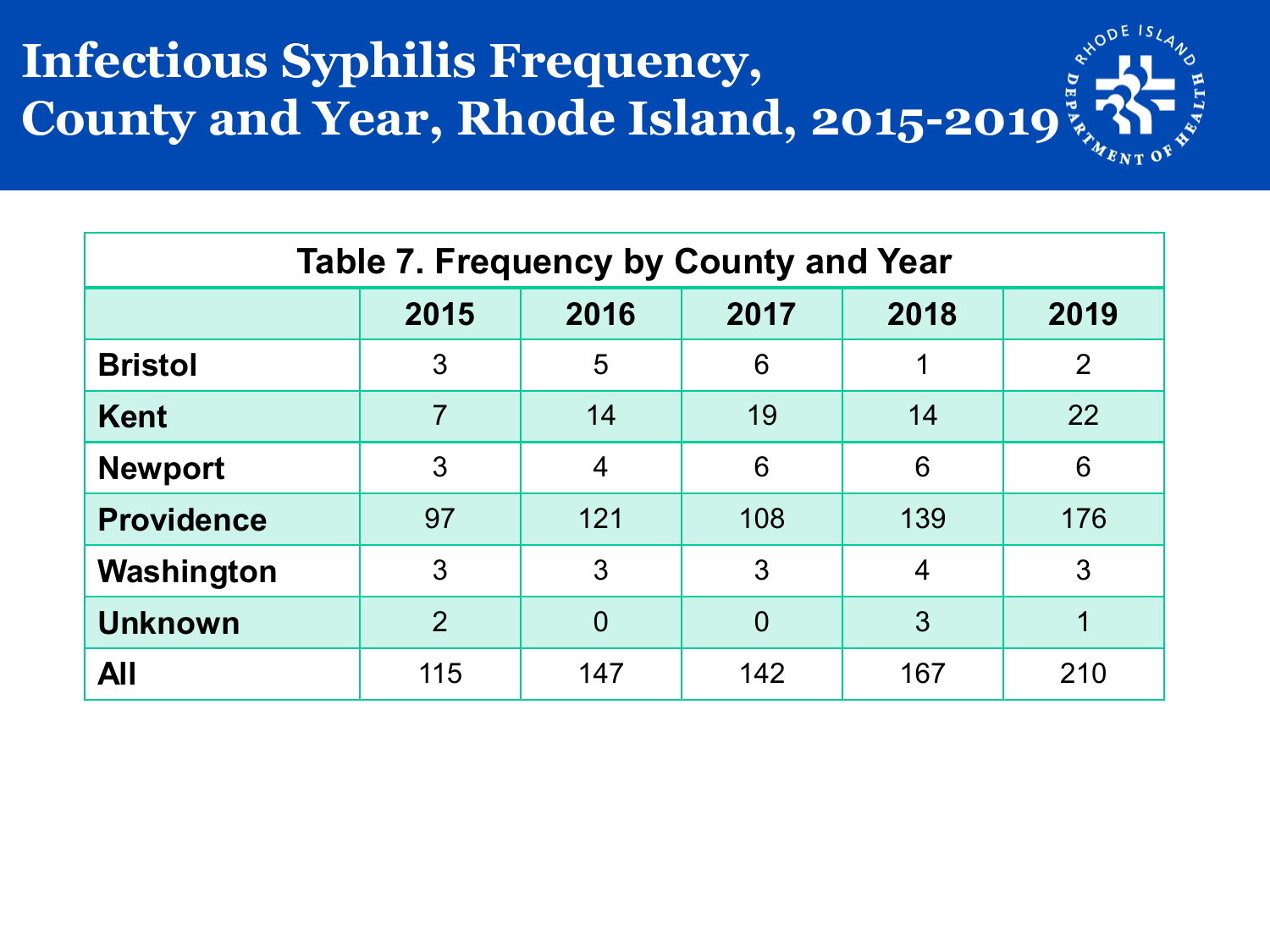## **Infectious Syphilis Frequency, County and Year, Rhode Island, 2015-2019**

| <b>Table 7. Frequency by County and Year</b> |                |          |                |                |                |  |  |
|----------------------------------------------|----------------|----------|----------------|----------------|----------------|--|--|
|                                              | 2015           | 2016     | 2017           | 2018           | 2019           |  |  |
| <b>Bristol</b>                               | 3              | 5        | 6              |                | $\overline{2}$ |  |  |
| <b>Kent</b>                                  | $\overline{7}$ | 14       | 19             | 14             | 22             |  |  |
| <b>Newport</b>                               | 3              | 4        | 6              | 6              | 6              |  |  |
| <b>Providence</b>                            | 97             | 121      | 108            | 139            | 176            |  |  |
| Washington                                   | 3              | 3        | 3              | $\overline{4}$ | 3              |  |  |
| <b>Unknown</b>                               | $\overline{2}$ | $\Omega$ | $\overline{0}$ | 3              |                |  |  |
| <b>All</b>                                   | 115            | 147      | 142            | 167            | 210            |  |  |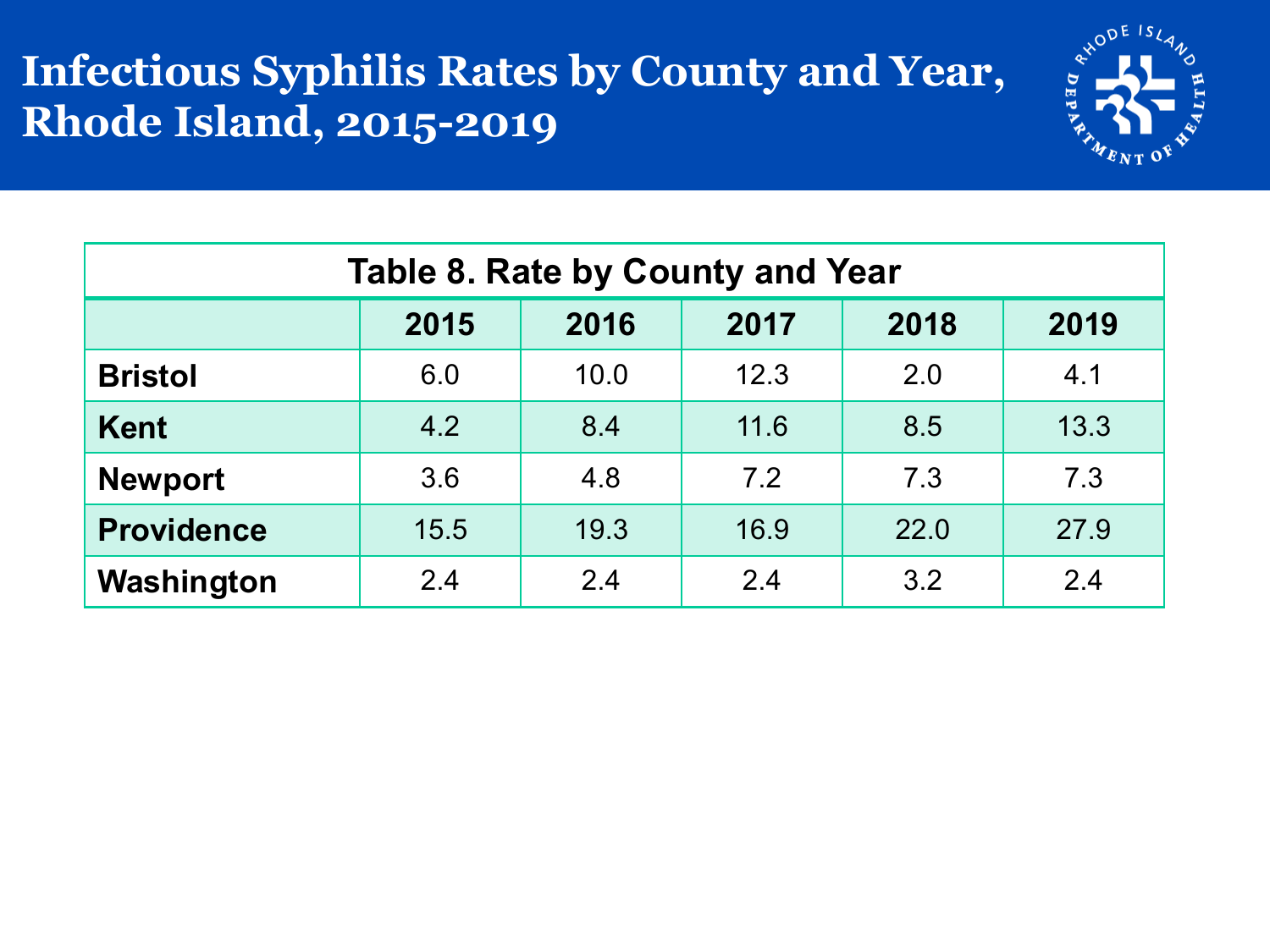#### **Infectious Syphilis Rates by County and Year, Rhode Island, 2015-2019**



| <b>Table 8. Rate by County and Year</b> |                                      |      |      |      |      |  |  |  |
|-----------------------------------------|--------------------------------------|------|------|------|------|--|--|--|
|                                         | 2015<br>2017<br>2018<br>2019<br>2016 |      |      |      |      |  |  |  |
| <b>Bristol</b>                          | 6.0                                  | 10.0 | 12.3 | 2.0  | 4.1  |  |  |  |
| <b>Kent</b>                             | 4.2                                  | 8.4  | 11.6 | 8.5  | 13.3 |  |  |  |
| <b>Newport</b>                          | 3.6                                  | 4.8  | 7.2  | 7.3  | 7.3  |  |  |  |
| <b>Providence</b>                       | 15.5                                 | 19.3 | 16.9 | 22.0 | 27.9 |  |  |  |
| Washington                              | 2.4                                  | 2.4  | 2.4  | 3.2  | 2.4  |  |  |  |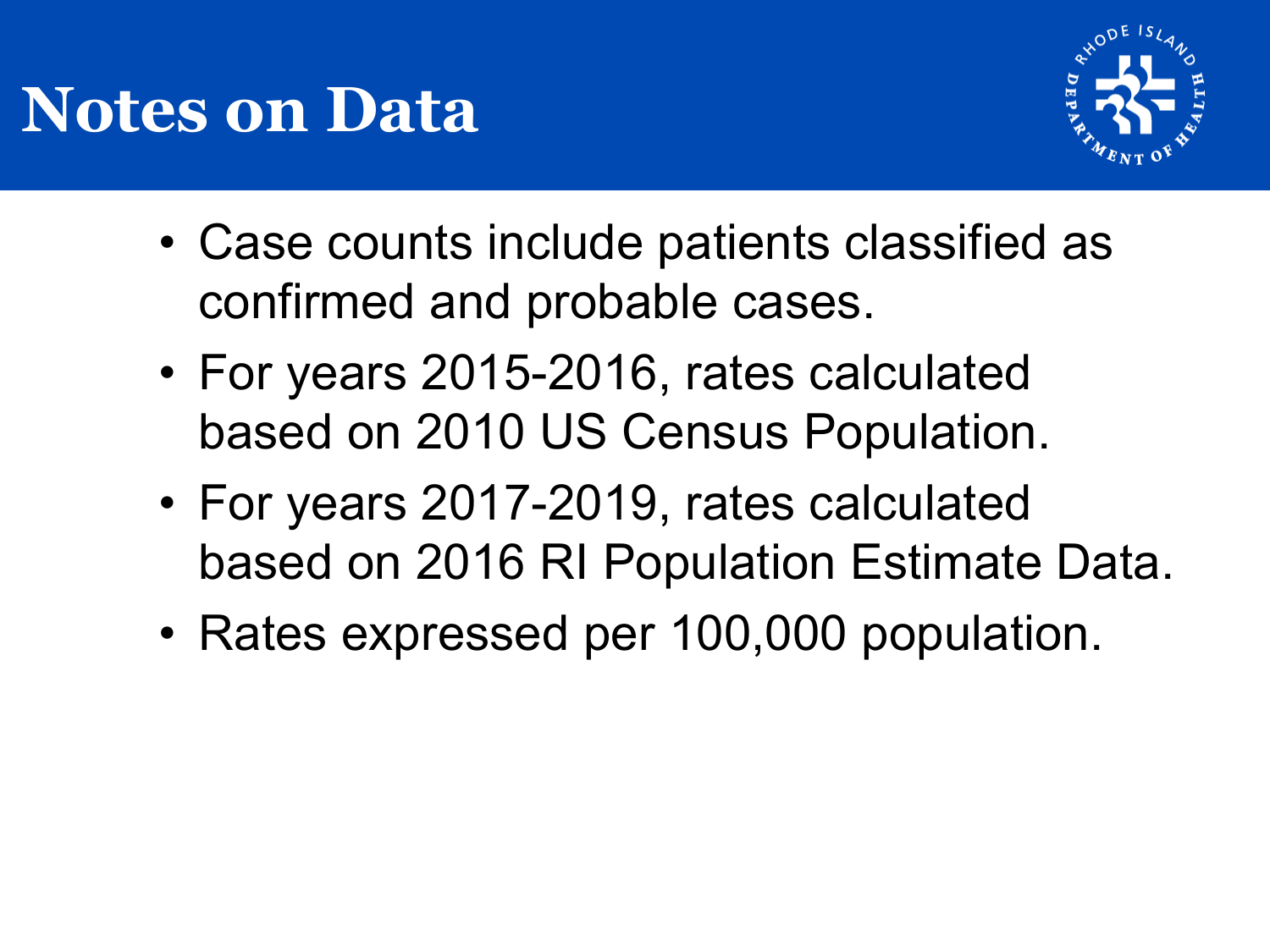## **Notes on Data**



- Case counts include patients classified as confirmed and probable cases.
- For years 2015-2016, rates calculated based on 2010 US Census Population.
- For years 2017-2019, rates calculated based on 2016 RI Population Estimate Data.
- Rates expressed per 100,000 population.